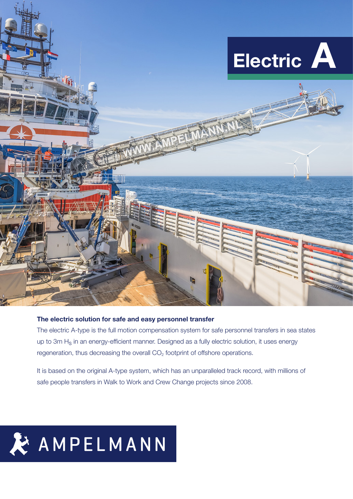

# The electric solution for safe and easy personnel transfer

The electric A-type is the full motion compensation system for safe personnel transfers in sea states up to 3m H<sub>s</sub> in an energy-efficient manner. Designed as a fully electric solution, it uses energy regeneration, thus decreasing the overall  $CO<sub>2</sub>$  footprint of offshore operations.

It is based on the original A-type system, which has an unparalleled track record, with millions of safe people transfers in Walk to Work and Crew Change projects since 2008.